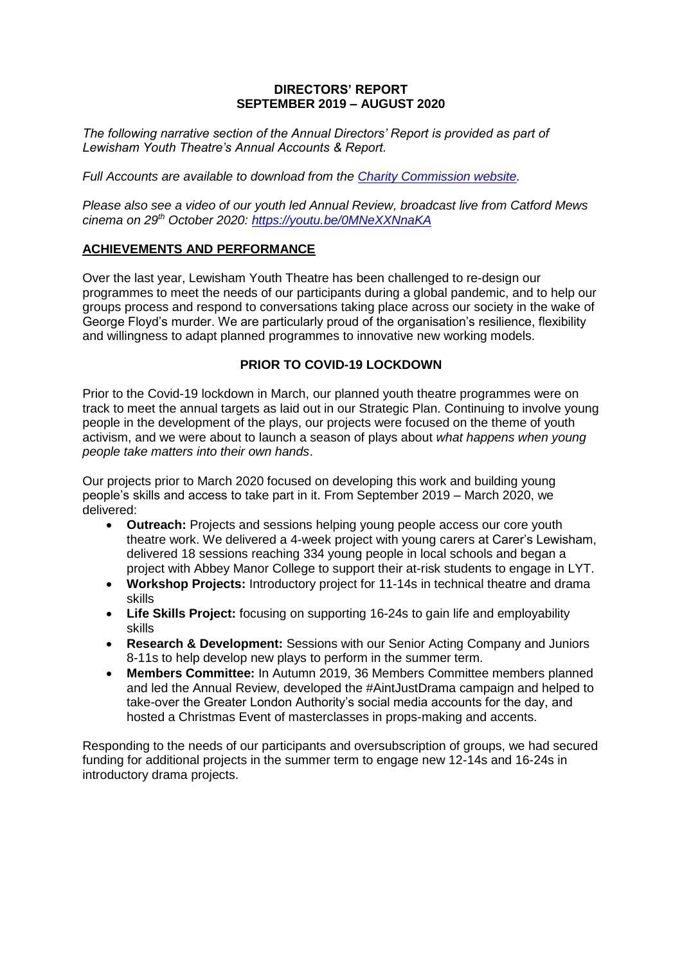## **DIRECTORS' REPORT SEPTEMBER 2019 – AUGUST 2020**

*The following narrative section of the Annual Directors' Report is provided as part of Lewisham Youth Theatre's Annual Accounts & Report.* 

*Full Accounts are available to download from the [Charity Commission website.](https://register-of-charities.charitycommission.gov.uk/charity-search?p_p_id=uk_gov_ccew_onereg_charitydetails_web_portlet_CharityDetailsPortlet&p_p_lifecycle=2&p_p_state=maximized&p_p_mode=view&p_p_resource_id=%2Faccounts-resource&p_p_cacheability=cacheLevelPage&_uk_gov_ccew_onereg_charitydetails_web_portlet_CharityDetailsPortlet_fileName=0000297075_AC_20200831_E_C.pdf&_uk_gov_ccew_onereg_charitydetails_web_portlet_CharityDetailsPortlet_objectiveId=A10486374&_uk_gov_ccew_onereg_charitydetails_web_portlet_CharityDetailsPortlet_priv_r_p_mvcRenderCommandName=%2Faccounts-and-annual-returns&_uk_gov_ccew_onereg_charitydetails_web_portlet_CharityDetailsPortlet_priv_r_p_organisationNumber=297075)*

*Please also see a video of our youth led Annual Review, broadcast live from Catford Mews cinema on 29th October 2020:<https://youtu.be/0MNeXXNnaKA>*

# **ACHIEVEMENTS AND PERFORMANCE**

Over the last year, Lewisham Youth Theatre has been challenged to re-design our programmes to meet the needs of our participants during a global pandemic, and to help our groups process and respond to conversations taking place across our society in the wake of George Floyd's murder. We are particularly proud of the organisation's resilience, flexibility and willingness to adapt planned programmes to innovative new working models.

# **PRIOR TO COVID-19 LOCKDOWN**

Prior to the Covid-19 lockdown in March, our planned youth theatre programmes were on track to meet the annual targets as laid out in our Strategic Plan. Continuing to involve young people in the development of the plays, our projects were focused on the theme of youth activism, and we were about to launch a season of plays about *what happens when young people take matters into their own hands*.

Our projects prior to March 2020 focused on developing this work and building young people's skills and access to take part in it. From September 2019 – March 2020, we delivered:

- **Outreach:** Projects and sessions helping young people access our core youth theatre work. We delivered a 4-week project with young carers at Carer's Lewisham, delivered 18 sessions reaching 334 young people in local schools and began a project with Abbey Manor College to support their at-risk students to engage in LYT.
- **Workshop Projects:** Introductory project for 11-14s in technical theatre and drama skills
- **Life Skills Project:** focusing on supporting 16-24s to gain life and employability skills
- **Research & Development:** Sessions with our Senior Acting Company and Juniors 8-11s to help develop new plays to perform in the summer term.
- **Members Committee:** In Autumn 2019, 36 Members Committee members planned and led the Annual Review, developed the #AintJustDrama campaign and helped to take-over the Greater London Authority's social media accounts for the day, and hosted a Christmas Event of masterclasses in props-making and accents.

Responding to the needs of our participants and oversubscription of groups, we had secured funding for additional projects in the summer term to engage new 12-14s and 16-24s in introductory drama projects.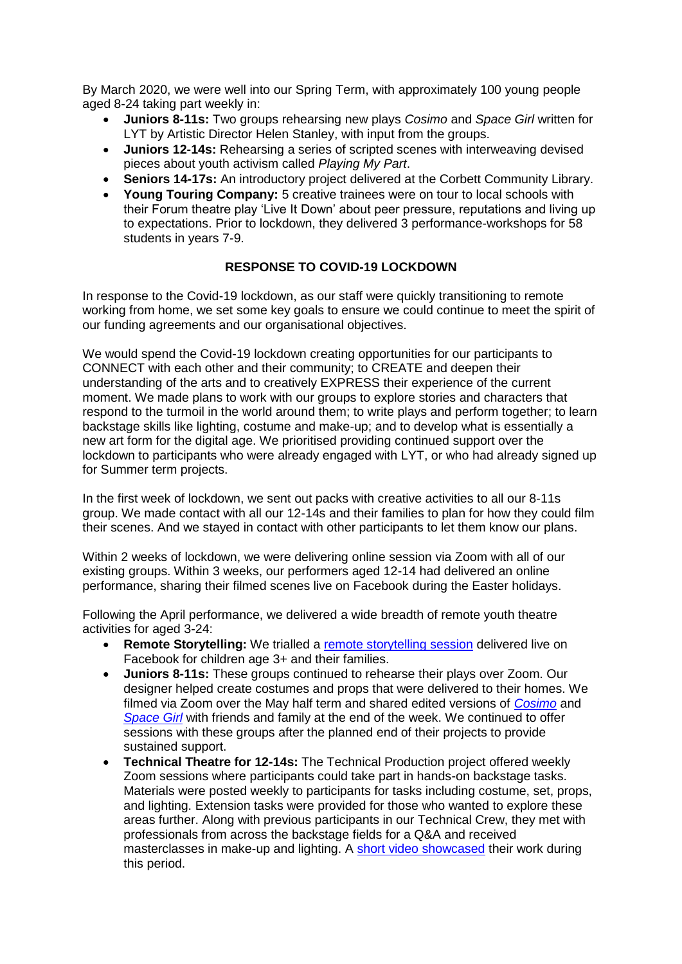By March 2020, we were well into our Spring Term, with approximately 100 young people aged 8-24 taking part weekly in:

- **Juniors 8-11s:** Two groups rehearsing new plays *Cosimo* and *Space Girl* written for LYT by Artistic Director Helen Stanley, with input from the groups.
- **Juniors 12-14s:** Rehearsing a series of scripted scenes with interweaving devised pieces about youth activism called *Playing My Part*.
- **Seniors 14-17s:** An introductory project delivered at the Corbett Community Library.
- **Young Touring Company:** 5 creative trainees were on tour to local schools with their Forum theatre play 'Live It Down' about peer pressure, reputations and living up to expectations. Prior to lockdown, they delivered 3 performance-workshops for 58 students in years 7-9.

## **RESPONSE TO COVID-19 LOCKDOWN**

In response to the Covid-19 lockdown, as our staff were quickly transitioning to remote working from home, we set some key goals to ensure we could continue to meet the spirit of our funding agreements and our organisational objectives.

We would spend the Covid-19 lockdown creating opportunities for our participants to CONNECT with each other and their community; to CREATE and deepen their understanding of the arts and to creatively EXPRESS their experience of the current moment. We made plans to work with our groups to explore stories and characters that respond to the turmoil in the world around them; to write plays and perform together; to learn backstage skills like lighting, costume and make-up; and to develop what is essentially a new art form for the digital age. We prioritised providing continued support over the lockdown to participants who were already engaged with LYT, or who had already signed up for Summer term projects.

In the first week of lockdown, we sent out packs with creative activities to all our 8-11s group. We made contact with all our 12-14s and their families to plan for how they could film their scenes. And we stayed in contact with other participants to let them know our plans.

Within 2 weeks of lockdown, we were delivering online session via Zoom with all of our existing groups. Within 3 weeks, our performers aged 12-14 had delivered an online performance, sharing their filmed scenes live on Facebook during the Easter holidays.

Following the April performance, we delivered a wide breadth of remote youth theatre activities for aged 3-24:

- **Remote Storytelling:** We trialled a [remote storytelling session](https://youtu.be/mDhch1iJN58) delivered live on Facebook for children age 3+ and their families.
- **Juniors 8-11s:** These groups continued to rehearse their plays over Zoom. Our designer helped create costumes and props that were delivered to their homes. We filmed via Zoom over the May half term and shared edited versions of *[Cosimo](https://youtu.be/ctpMbpunm88)* and *[Space Girl](https://youtu.be/r787QRQwr1Y)* with friends and family at the end of the week. We continued to offer sessions with these groups after the planned end of their projects to provide sustained support.
- **Technical Theatre for 12-14s:** The Technical Production project offered weekly Zoom sessions where participants could take part in hands-on backstage tasks. Materials were posted weekly to participants for tasks including costume, set, props, and lighting. Extension tasks were provided for those who wanted to explore these areas further. Along with previous participants in our Technical Crew, they met with professionals from across the backstage fields for a Q&A and received masterclasses in make-up and lighting. A [short video showcased](https://youtu.be/Zwaf6znSAyg) their work during this period.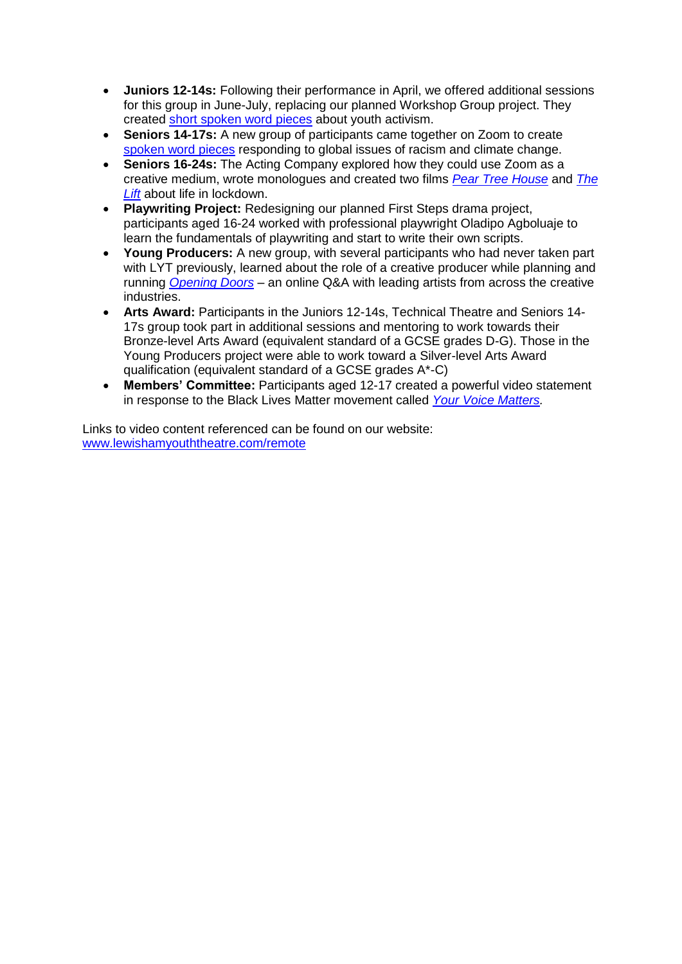- **Juniors 12-14s:** Following their performance in April, we offered additional sessions for this group in June-July, replacing our planned Workshop Group project. They created [short spoken word pieces](https://youtu.be/Mpuni54-_q8) about youth activism.
- **Seniors 14-17s:** A new group of participants came together on Zoom to create [spoken word pieces](https://youtu.be/tDkgcF59B60) responding to global issues of racism and climate change.
- **Seniors 16-24s:** The Acting Company explored how they could use Zoom as a creative medium, wrote monologues and created two films *[Pear Tree House](https://youtu.be/cxR596BjLoU)* and *[The](https://youtu.be/CW1_pFHrolc)  [Lift](https://youtu.be/CW1_pFHrolc)* about life in lockdown.
- **Playwriting Project:** Redesigning our planned First Steps drama project, participants aged 16-24 worked with professional playwright Oladipo Agboluaje to learn the fundamentals of playwriting and start to write their own scripts.
- **Young Producers:** A new group, with several participants who had never taken part with LYT previously, learned about the role of a creative producer while planning and running *[Opening Doors](https://youtu.be/pQg3IOZIoRY)* – an online Q&A with leading artists from across the creative industries.
- **Arts Award:** Participants in the Juniors 12-14s, Technical Theatre and Seniors 14- 17s group took part in additional sessions and mentoring to work towards their Bronze-level Arts Award (equivalent standard of a GCSE grades D-G). Those in the Young Producers project were able to work toward a Silver-level Arts Award qualification (equivalent standard of a GCSE grades A\*-C)
- **Members' Committee:** Participants aged 12-17 created a powerful video statement in response to the Black Lives Matter movement called *[Your Voice Matters.](https://youtu.be/jL1EGztvx4Y)*

Links to video content referenced can be found on our website: [www.lewishamyouththeatre.com/remote](http://www.lewishamyouththeatre.com/remote)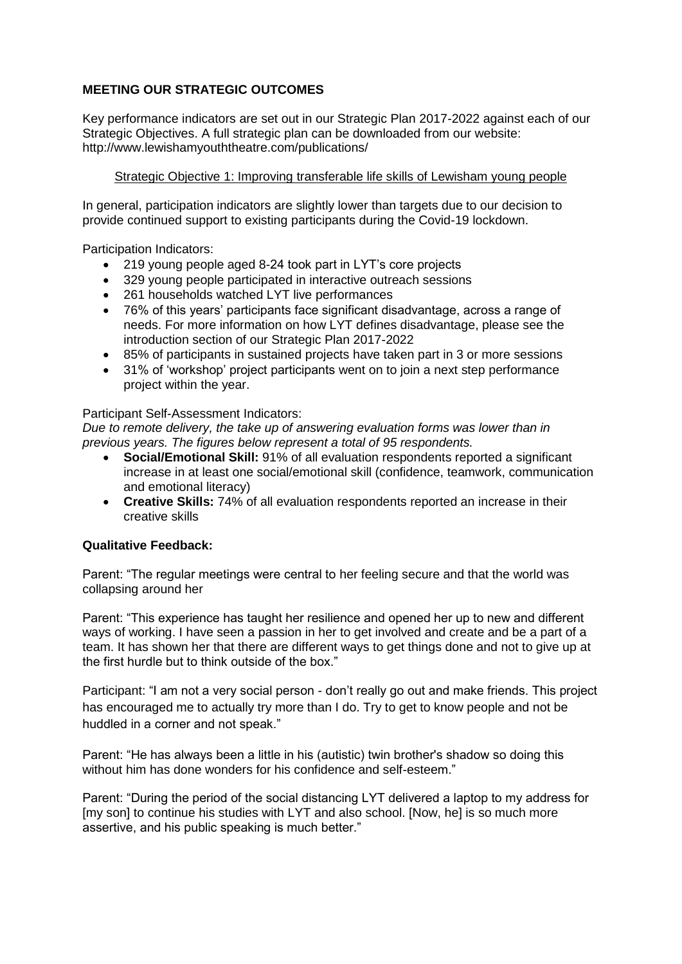# **MEETING OUR STRATEGIC OUTCOMES**

Key performance indicators are set out in our Strategic Plan 2017-2022 against each of our Strategic Objectives. A full strategic plan can be downloaded from our website: http://www.lewishamyouththeatre.com/publications/

# Strategic Objective 1: Improving transferable life skills of Lewisham young people

In general, participation indicators are slightly lower than targets due to our decision to provide continued support to existing participants during the Covid-19 lockdown.

Participation Indicators:

- 219 young people aged 8-24 took part in LYT's core projects
- 329 young people participated in interactive outreach sessions
- 261 households watched LYT live performances
- 76% of this years' participants face significant disadvantage, across a range of needs. For more information on how LYT defines disadvantage, please see the introduction section of our Strategic Plan 2017-2022
- 85% of participants in sustained projects have taken part in 3 or more sessions
- 31% of 'workshop' project participants went on to join a next step performance project within the year.

## Participant Self-Assessment Indicators:

*Due to remote delivery, the take up of answering evaluation forms was lower than in previous years. The figures below represent a total of 95 respondents.* 

- **Social/Emotional Skill:** 91% of all evaluation respondents reported a significant increase in at least one social/emotional skill (confidence, teamwork, communication and emotional literacy)
- **Creative Skills:** 74% of all evaluation respondents reported an increase in their creative skills

# **Qualitative Feedback:**

Parent: "The regular meetings were central to her feeling secure and that the world was collapsing around her

Parent: "This experience has taught her resilience and opened her up to new and different ways of working. I have seen a passion in her to get involved and create and be a part of a team. It has shown her that there are different ways to get things done and not to give up at the first hurdle but to think outside of the box."

Participant: "I am not a very social person - don't really go out and make friends. This project has encouraged me to actually try more than I do. Try to get to know people and not be huddled in a corner and not speak."

Parent: "He has always been a little in his (autistic) twin brother's shadow so doing this without him has done wonders for his confidence and self-esteem."

Parent: "During the period of the social distancing LYT delivered a laptop to my address for [my son] to continue his studies with LYT and also school. [Now, he] is so much more assertive, and his public speaking is much better."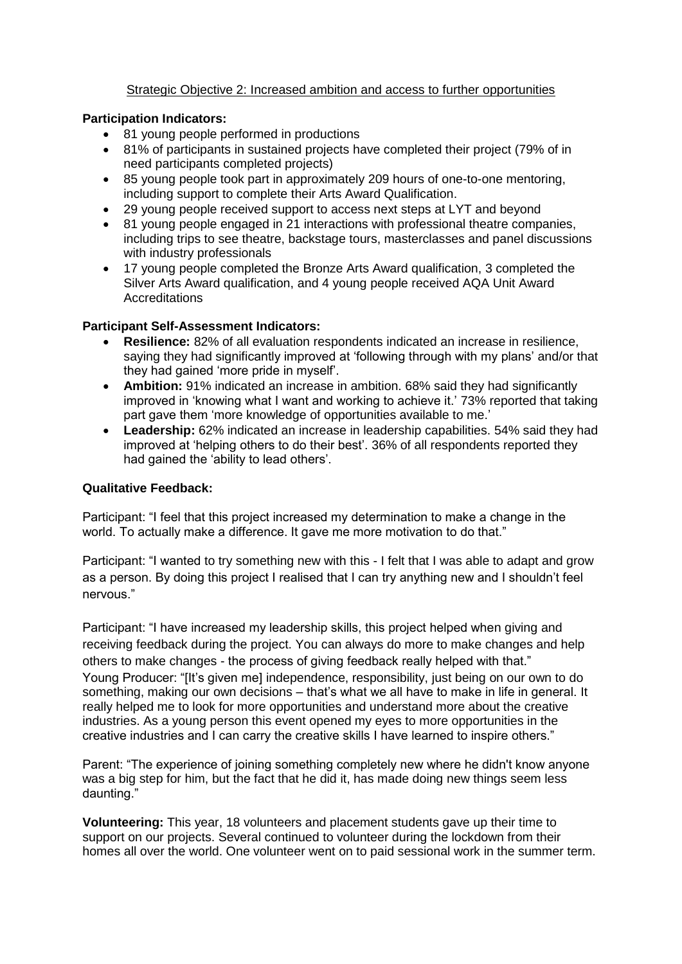# Strategic Objective 2: Increased ambition and access to further opportunities

## **Participation Indicators:**

- 81 young people performed in productions
- 81% of participants in sustained projects have completed their project (79% of in need participants completed projects)
- 85 young people took part in approximately 209 hours of one-to-one mentoring, including support to complete their Arts Award Qualification.
- 29 young people received support to access next steps at LYT and beyond
- 81 young people engaged in 21 interactions with professional theatre companies, including trips to see theatre, backstage tours, masterclasses and panel discussions with industry professionals
- 17 young people completed the Bronze Arts Award qualification, 3 completed the Silver Arts Award qualification, and 4 young people received AQA Unit Award Accreditations

# **Participant Self-Assessment Indicators:**

- **Resilience:** 82% of all evaluation respondents indicated an increase in resilience, saying they had significantly improved at 'following through with my plans' and/or that they had gained 'more pride in myself'.
- **Ambition:** 91% indicated an increase in ambition. 68% said they had significantly improved in 'knowing what I want and working to achieve it.' 73% reported that taking part gave them 'more knowledge of opportunities available to me.'
- **Leadership:** 62% indicated an increase in leadership capabilities. 54% said they had improved at 'helping others to do their best'. 36% of all respondents reported they had gained the 'ability to lead others'.

# **Qualitative Feedback:**

Participant: "I feel that this project increased my determination to make a change in the world. To actually make a difference. It gave me more motivation to do that."

Participant: "I wanted to try something new with this - I felt that I was able to adapt and grow as a person. By doing this project I realised that I can try anything new and I shouldn't feel nervous."

Participant: "I have increased my leadership skills, this project helped when giving and receiving feedback during the project. You can always do more to make changes and help others to make changes - the process of giving feedback really helped with that." Young Producer: "It's given mel independence, responsibility, just being on our own to do something, making our own decisions – that's what we all have to make in life in general. It really helped me to look for more opportunities and understand more about the creative industries. As a young person this event opened my eyes to more opportunities in the creative industries and I can carry the creative skills I have learned to inspire others."

Parent: "The experience of joining something completely new where he didn't know anyone was a big step for him, but the fact that he did it, has made doing new things seem less daunting."

**Volunteering:** This year, 18 volunteers and placement students gave up their time to support on our projects. Several continued to volunteer during the lockdown from their homes all over the world. One volunteer went on to paid sessional work in the summer term.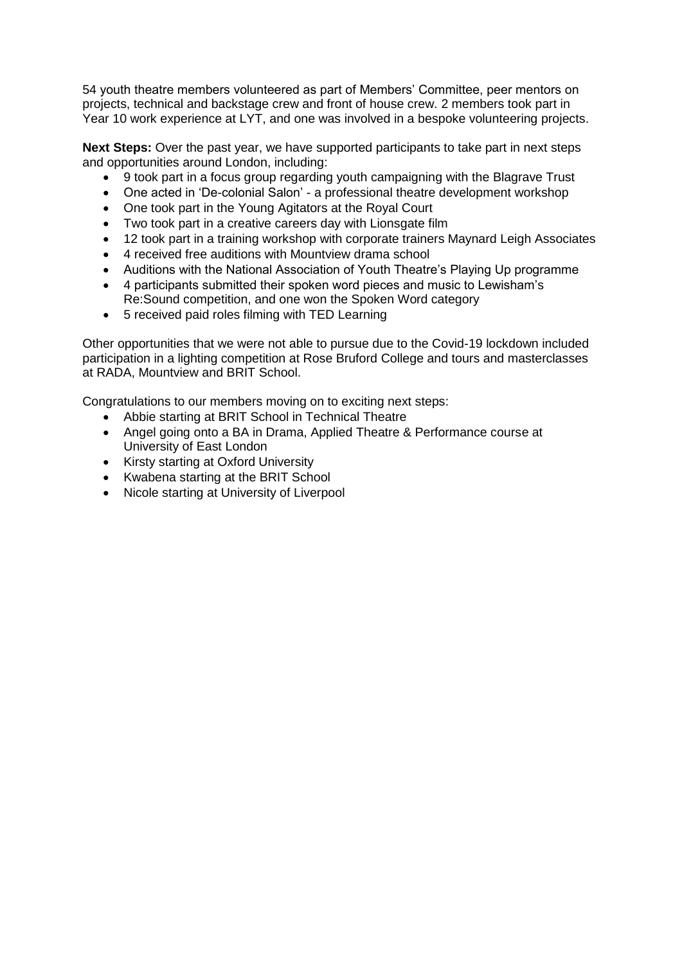54 youth theatre members volunteered as part of Members' Committee, peer mentors on projects, technical and backstage crew and front of house crew. 2 members took part in Year 10 work experience at LYT, and one was involved in a bespoke volunteering projects.

**Next Steps:** Over the past year, we have supported participants to take part in next steps and opportunities around London, including:

- 9 took part in a focus group regarding youth campaigning with the Blagrave Trust
- One acted in 'De-colonial Salon' a professional theatre development workshop
- One took part in the Young Agitators at the Royal Court
- Two took part in a creative careers day with Lionsgate film
- 12 took part in a training workshop with corporate trainers Maynard Leigh Associates
- 4 received free auditions with Mountview drama school
- Auditions with the National Association of Youth Theatre's Playing Up programme
- 4 participants submitted their spoken word pieces and music to Lewisham's Re:Sound competition, and one won the Spoken Word category
- 5 received paid roles filming with TED Learning

Other opportunities that we were not able to pursue due to the Covid-19 lockdown included participation in a lighting competition at Rose Bruford College and tours and masterclasses at RADA, Mountview and BRIT School.

Congratulations to our members moving on to exciting next steps:

- Abbie starting at BRIT School in Technical Theatre
- Angel going onto a BA in Drama, Applied Theatre & Performance course at University of East London
- Kirsty starting at Oxford University
- Kwabena starting at the BRIT School
- Nicole starting at University of Liverpool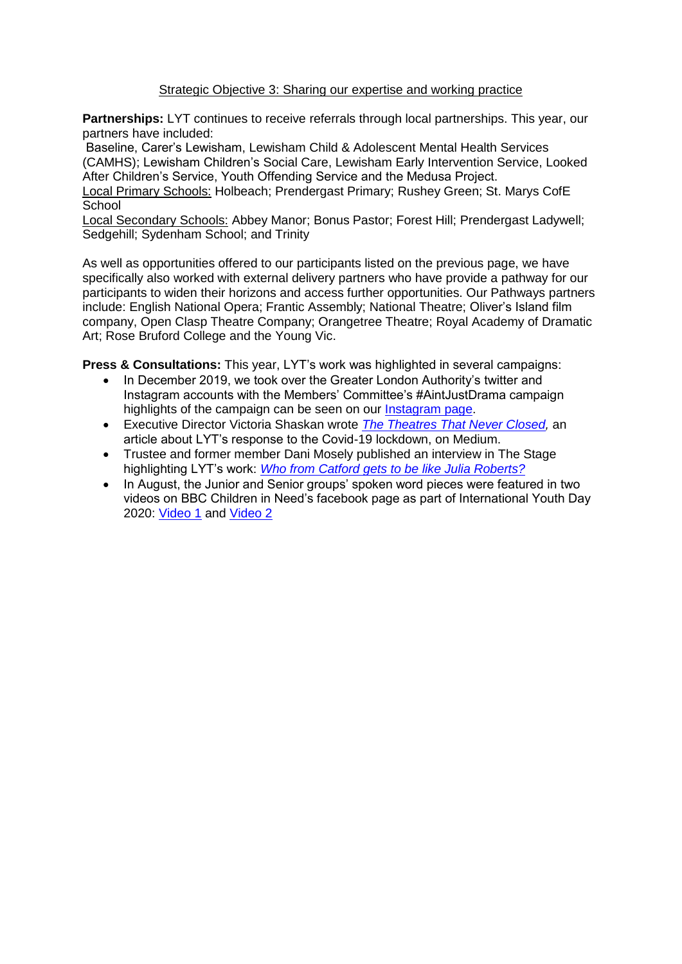# Strategic Objective 3: Sharing our expertise and working practice

**Partnerships:** LYT continues to receive referrals through local partnerships. This year, our partners have included:

Baseline, Carer's Lewisham, Lewisham Child & Adolescent Mental Health Services (CAMHS); Lewisham Children's Social Care, Lewisham Early Intervention Service, Looked After Children's Service, Youth Offending Service and the Medusa Project.

Local Primary Schools: Holbeach; Prendergast Primary; Rushey Green; St. Marys CofE **School** 

Local Secondary Schools: Abbey Manor; Bonus Pastor; Forest Hill; Prendergast Ladywell; Sedgehill; Sydenham School; and Trinity

As well as opportunities offered to our participants listed on the previous page, we have specifically also worked with external delivery partners who have provide a pathway for our participants to widen their horizons and access further opportunities. Our Pathways partners include: English National Opera; Frantic Assembly; National Theatre; Oliver's Island film company, Open Clasp Theatre Company; Orangetree Theatre; Royal Academy of Dramatic Art; Rose Bruford College and the Young Vic.

**Press & Consultations:** This year, LYT's work was highlighted in several campaigns:

- In December 2019, we took over the Greater London Authority's twitter and Instagram accounts with the Members' Committee's #AintJustDrama campaign highlights of the campaign can be seen on our [Instagram page.](https://www.instagram.com/stories/highlights/17937933805325223/?hl=en)
- Executive Director Victoria Shaskan wrote *[The Theatres That Never Closed,](https://medium.com/@victoriaLYT/the-theatres-that-never-closed-8511153cec00?source=friends_link&sk=cce55ee6725987f6946155320a8ce343)* an article about LYT's response to the Covid-19 lockdown, on Medium.
- Trustee and former member Dani Mosely published an interview in The Stage highlighting LYT's work: *Who from Catford gets [to be like Julia Roberts?](https://www.thestage.co.uk/qa/qa/dani-moseley)*
- In August, the Junior and Senior groups' spoken word pieces were featured in two videos on BBC Children in Need's facebook page as part of International Youth Day 2020: [Video 1](https://www.facebook.com/watch/?v=618948028753421) and [Video 2](https://www.facebook.com/watch/?v=661828317795782)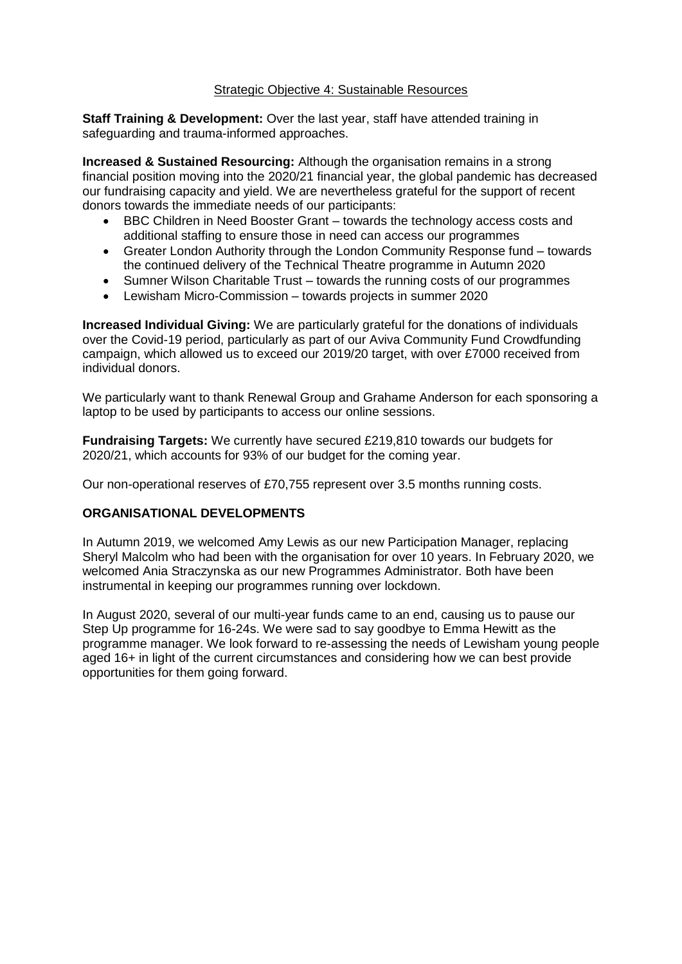## Strategic Objective 4: Sustainable Resources

**Staff Training & Development:** Over the last year, staff have attended training in safeguarding and trauma-informed approaches.

**Increased & Sustained Resourcing:** Although the organisation remains in a strong financial position moving into the 2020/21 financial year, the global pandemic has decreased our fundraising capacity and yield. We are nevertheless grateful for the support of recent donors towards the immediate needs of our participants:

- BBC Children in Need Booster Grant towards the technology access costs and additional staffing to ensure those in need can access our programmes
- Greater London Authority through the London Community Response fund towards the continued delivery of the Technical Theatre programme in Autumn 2020
- Sumner Wilson Charitable Trust towards the running costs of our programmes
- Lewisham Micro-Commission towards projects in summer 2020

**Increased Individual Giving:** We are particularly grateful for the donations of individuals over the Covid-19 period, particularly as part of our Aviva Community Fund Crowdfunding campaign, which allowed us to exceed our 2019/20 target, with over £7000 received from individual donors.

We particularly want to thank Renewal Group and Grahame Anderson for each sponsoring a laptop to be used by participants to access our online sessions.

**Fundraising Targets:** We currently have secured £219,810 towards our budgets for 2020/21, which accounts for 93% of our budget for the coming year.

Our non-operational reserves of £70,755 represent over 3.5 months running costs.

# **ORGANISATIONAL DEVELOPMENTS**

In Autumn 2019, we welcomed Amy Lewis as our new Participation Manager, replacing Sheryl Malcolm who had been with the organisation for over 10 years. In February 2020, we welcomed Ania Straczynska as our new Programmes Administrator. Both have been instrumental in keeping our programmes running over lockdown.

In August 2020, several of our multi-year funds came to an end, causing us to pause our Step Up programme for 16-24s. We were sad to say goodbye to Emma Hewitt as the programme manager. We look forward to re-assessing the needs of Lewisham young people aged 16+ in light of the current circumstances and considering how we can best provide opportunities for them going forward.